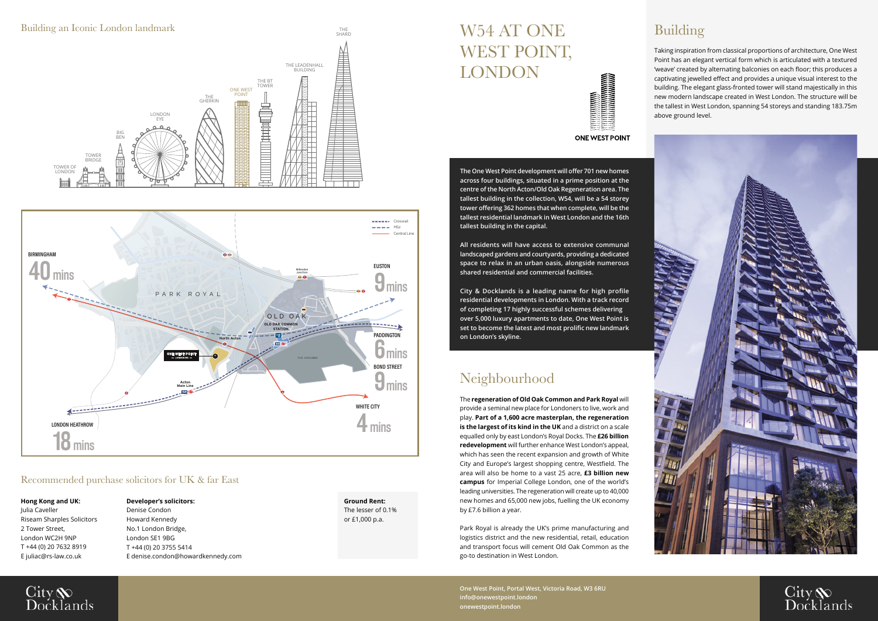# W54 AT ONE WEST POINT, LONDON



**ONE WEST POINT** 

**The One West Point development will offer 701 new homes across four buildings, situated in a prime position at the centre of the North Acton/Old Oak Regeneration area. The tallest building in the collection, W54, will be a 54 storey tower offering 362 homes that when complete, will be the tallest residential landmark in West London and the 16th tallest building in the capital.**

**All residents will have access to extensive communal landscaped gardens and courtyards, providing a dedicated space to relax in an urban oasis, alongside numerous shared residential and commercial facilities.**

**City & Docklands is a leading name for high profile residential developments in London. With a track record of completing 17 highly successful schemes delivering over 5,000 luxury apartments to date, One West Point is set to become the latest and most prolific new landmark on London's skyline.**

## Building

Taking inspiration from classical proportions of architecture, One West Point has an elegant vertical form which is articulated with a textured 'weave' created by alternating balconies on each floor; this produces a captivating jewelled effect and provides a unique visual interest to the building. The elegant glass-fronted tower will stand majestically in this new modern landscape created in West London. The structure will be the tallest in West London, spanning 54 storeys and standing 183.75m above ground level.





# Neighbourhood

The **regeneration of Old Oak Common and Park Royal** will provide a seminal new place for Londoners to live, work and play. **Part of a 1,600 acre masterplan, the regeneration is the largest of its kind in the UK** and a district on a scale equalled only by east London's Royal Docks. The **£26 billion redevelopment** will further enhance West London's appeal, which has seen the recent expansion and growth of White City and Europe's largest shopping centre, Westfield. The area will also be home to a vast 25 acre, **£3 billion new campus** for Imperial College London, one of the world's leading universities. The regeneration will create up to 40,000 new homes and 65,000 new jobs, fuelling the UK economy by £7.6 billion a year.

Park Royal is already the UK's prime manufacturing and logistics district and the new residential, retail, education and transport focus will cement Old Oak Common as the go-to destination in West London.

**One West Point, Portal West, Victoria Road, W3 6RU info@onewestpoint.london onewestpoint.london**

#### Recommended purchase solicitors for UK & far East

**Hong Kong and UK:**  Julia Caveller Riseam Sharples Solicitors 2 Tower Street, London WC2H 9NP T +44 (0) 20 7632 8919 E juliac@rs-law.co.uk

City<br>Docklands



#### **Developer's solicitors:**

Denise Condon Howard Kennedy No.1 London Bridge, London SE1 9BG T +44 (0) 20 3755 5414 E denise.condon@howardkennedy.com

**Ground Rent:** The lesser of 0.1% or £1,000 p.a.